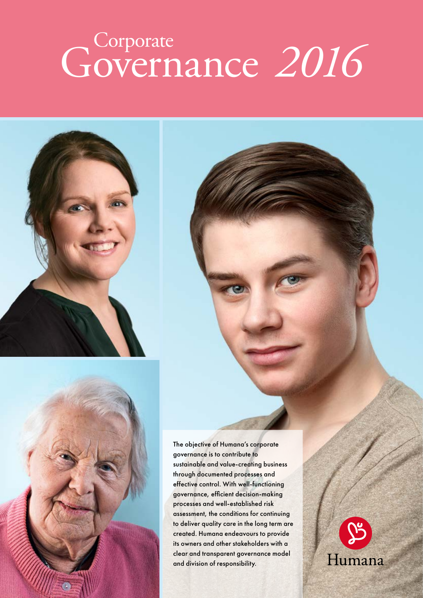# Governance 2016



The objective of Humana's corporate governance is to contribute to sustainable and value-creating business through documented processes and effective control. With well-functioning governance, efficient decision-making processes and well-established risk assessment, the conditions for continuing to deliver quality care in the long term are created. Humana endeavours to provide its owners and other stakeholders with a clear and transparent governance model and division of responsibility.

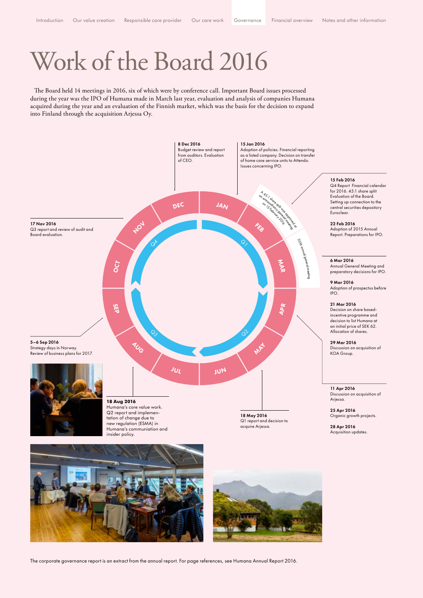### Work of the Board 2016

The Board held 14 meetings in 2016, six of which were by conference call. Important Board issues processed during the year was the IPO of Humana made in March last year, evaluation and analysis of companies Humana acquired during the year and an evaluation of the Finnish market, which was the basis for the decision to expand into Finland through the acquisition Arjessa Oy.



The corporate governance report is an extract from the annual report. For page references, see Humana Annual Report 2016.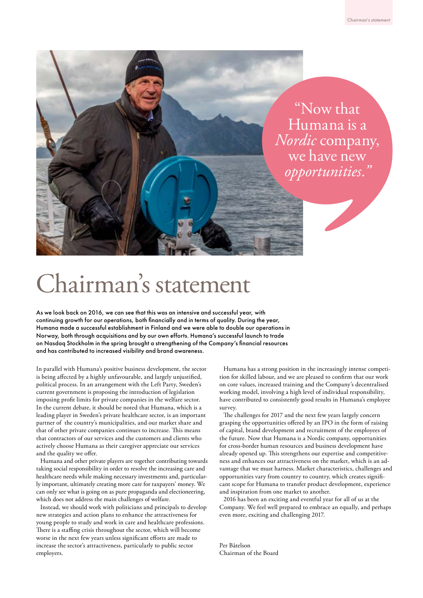

### Chairman's statement

As we look back on 2016, we can see that this was an intensive and successful year, with continuing growth for our operations, both financially and in terms of quality. During the year, Humana made a successful establishment in Finland and we were able to double our operations in Norway, both through acquisitions and by our own efforts. Humana's successful launch to trade on Nasdaq Stockholm in the spring brought a strengthening of the Company's financial resources and has contributed to increased visibility and brand awareness.

In parallel with Humana's positive business development, the sector is being affected by a highly unfavourable, and largely unjustified, political process. In an arrangement with the Left Party, Sweden's current government is proposing the introduction of legislation imposing profit limits for private companies in the welfare sector. In the current debate, it should be noted that Humana, which is a leading player in Sweden's private healthcare sector, is an important partner of the country's municipalities, and our market share and that of other private companies continues to increase. This means that contractors of our services and the customers and clients who actively choose Humana as their caregiver appreciate our services and the quality we offer.

Humana and other private players are together contributing towards taking social responsibility in order to resolve the increasing care and healthcare needs while making necessary investments and, particularly important, ultimately creating more care for taxpayers' money. We can only see what is going on as pure propaganda and electioneering, which does not address the main challenges of welfare.

Instead, we should work with politicians and principals to develop new strategies and action plans to enhance the attractiveness for young people to study and work in care and healthcare professions. There is a staffing crisis throughout the sector, which will become worse in the next few years unless significant efforts are made to increase the sector's attractiveness, particularly to public sector employers.

Humana has a strong position in the increasingly intense competition for skilled labour, and we are pleased to confirm that our work on core values, increased training and the Company's decentralised working model, involving a high level of individual responsibility, have contributed to consistently good results in Humana's employee survey.

The challenges for 2017 and the next few years largely concern grasping the opportunities offered by an IPO in the form of raising of capital, brand development and recruitment of the employees of the future. Now that Humana is a Nordic company, opportunities for cross-border human resources and business development have already opened up. This strengthens our expertise and competitiveness and enhances our attractiveness on the market, which is an advantage that we must harness. Market characteristics, challenges and opportunities vary from country to country, which creates significant scope for Humana to transfer product development, experience and inspiration from one market to another.

2016 has been an exciting and eventful year for all of us at the Company. We feel well prepared to embrace an equally, and perhaps even more, exciting and challenging 2017.

Per Båtelson Chairman of the Board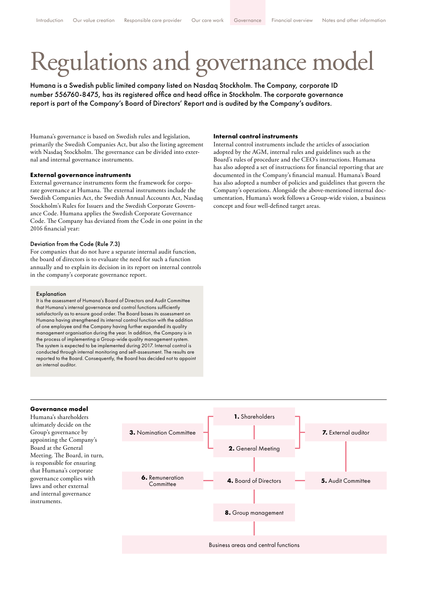# Regulations and governance model

Humana is a Swedish public limited company listed on Nasdaq Stockholm. The Company, corporate ID number 556760-8475, has its registered office and head office in Stockholm. The corporate governance report is part of the Company's Board of Directors' Report and is audited by the Company's auditors.

Humana's governance is based on Swedish rules and legislation, primarily the Swedish Companies Act, but also the listing agreement with Nasdaq Stockholm. The governance can be divided into external and internal governance instruments.

#### **External governance instruments**

External governance instruments form the framework for corporate governance at Humana. The external instruments include the Swedish Companies Act, the Swedish Annual Accounts Act, Nasdaq Stockholm's Rules for Issuers and the Swedish Corporate Governance Code. Humana applies the Swedish Corporate Governance Code. The Company has deviated from the Code in one point in the 2016 financial year:

#### Deviation from the Code (Rule 7.3)

For companies that do not have a separate internal audit function, the board of directors is to evaluate the need for such a function annually and to explain its decision in its report on internal controls in the company's corporate governance report.

#### Explanation

It is the assessment of Humana's Board of Directors and Audit Committee that Humana's internal governance and control functions sufficiently satisfactorily as to ensure good order. The Board bases its assessment on Humana having strengthened its internal control function with the addition of one employee and the Company having further expanded its quality management organisation during the year. In addition, the Company is in the process of implementing a Group-wide quality management system. The system is expected to be implemented during 2017. Internal control is conducted through internal monitoring and self-assessment. The results are reported to the Board. Consequently, the Board has decided not to appoint an internal auditor.

#### **Internal control instruments**

Internal control instruments include the articles of association adopted by the AGM, internal rules and guidelines such as the Board's rules of procedure and the CEO's instructions. Humana has also adopted a set of instructions for financial reporting that are documented in the Company's financial manual. Humana's Board has also adopted a number of policies and guidelines that govern the Company's operations. Alongside the above-mentioned internal documentation, Humana's work follows a Group-wide vision, a business concept and four well-defined target areas.



ultimately decide on the Group's governance by appointing the Company's Board at the General Meeting. The Board, in turn, is responsible for ensuring that Humana's corporate governance complies with laws and other external and internal governance instruments.

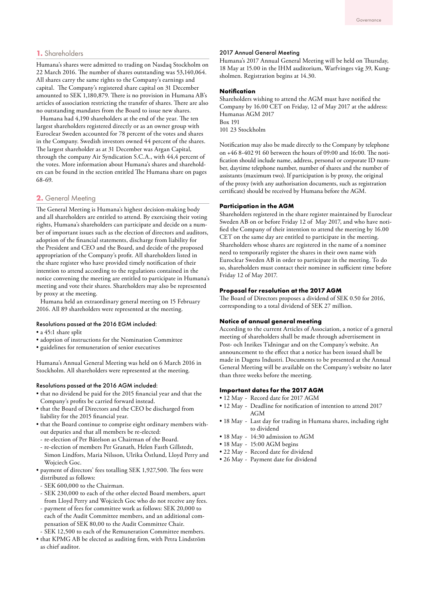#### **1.** Shareholders

Humana's shares were admitted to trading on Nasdaq Stockholm on 22 March 2016. The number of shares outstanding was 53,140,064. All shares carry the same rights to the Company's earnings and capital. The Company's registered share capital on 31 December amounted to SEK 1,180,879. There is no provision in Humana AB's articles of association restricting the transfer of shares. There are also no outstanding mandates from the Board to issue new shares.

Humana had 4,190 shareholders at the end of the year. The ten largest shareholders registered directly or as an owner group with Euroclear Sweden accounted for 78 percent of the votes and shares in the Company. Swedish investors owned 44 percent of the shares. The largest shareholder as at 31 December was Argan Capital, through the company Air Syndication S.C.A., with 44,4 percent of the votes. More information about Humana's shares and shareholders can be found in the section entitled The Humana share on pages 68-69.

#### **2.** General Meeting

The General Meeting is Humana's highest decision-making body and all shareholders are entitled to attend. By exercising their voting rights, Humana's shareholders can participate and decide on a number of important issues such as the election of directors and auditors, adoption of the financial statements, discharge from liability for the President and CEO and the Board, and decide of the proposed appropriation of the Company's profit. All shareholders listed in the share register who have provided timely notification of their intention to attend according to the regulations contained in the notice convening the meeting are entitled to participate in Humana's meeting and vote their shares. Shareholders may also be represented by proxy at the meeting.

Humana held an extraordinary general meeting on 15 February 2016. All 89 shareholders were represented at the meeting.

#### Resolutions passed at the 2016 EGM included:

- a 45:1 share split
- adoption of instructions for the Nomination Committee
- guidelines for remuneration of senior executives

Humana's Annual General Meeting was held on 6 March 2016 in Stockholm. All shareholders were represented at the meeting.

#### Resolutions passed at the 2016 AGM included:

- that no dividend be paid for the 2015 financial year and that the Company's profits be carried forward instead.
- that the Board of Directors and the CEO be discharged from liability for the 2015 financial year.
- that the Board continue to comprise eight ordinary members without deputies and that all members be re-elected:
- re-election of Per Båtelson as Chairman of the Board.
- re-election of members Per Granath, Helen Fasth Gillstedt, Simon Lindfors, Maria Nilsson, Ulrika Östlund, Lloyd Perry and Wojciech Goc.
- payment of directors' fees totalling SEK 1,927,500. The fees were distributed as follows:
- SEK 600,000 to the Chairman.
- SEK 230,000 to each of the other elected Board members, apart from Lloyd Perry and Wojciech Goc who do not receive any fees.
- payment of fees for committee work as follows: SEK 20,000 to each of the Audit Committee members, and an additional compensation of SEK 80,00 to the Audit Committee Chair.
- SEK 12,500 to each of the Remuneration Committee members.
- that KPMG AB be elected as auditing firm, with Petra Lindström as chief auditor.

#### 2017 Annual General Meeting

Humana's 2017 Annual General Meeting will be held on Thursday, 18 May at 15.00 in the IHM auditorium, Warfvinges väg 39, Kungsholmen. Registration begins at 14.30.

#### **Notification**

Shareholders wishing to attend the AGM must have notified the Company by 16.00 CET on Friday, 12 of May 2017 at the address: Humanas AGM 2017 Box 191 101 23 Stockholm

Notification may also be made directly to the Company by telephone on +46 8-402 91 60 between the hours of 09:00 and 16:00. The notification should include name, address, personal or corporate ID number, daytime telephone number, number of shares and the number of assistants (maximum two). If participation is by proxy, the original of the proxy (with any authorisation documents, such as registration certificate) should be received by Humana before the AGM.

#### **Participation in the AGM**

Shareholders registered in the share register maintained by Euroclear Sweden AB on or before Friday 12 of May 2017, and who have notified the Company of their intention to attend the meeting by 16.00 CET on the same day are entitled to participate in the meeting. Shareholders whose shares are registered in the name of a nominee need to temporarily register the shares in their own name with Euroclear Sweden AB in order to participate in the meeting. To do so, shareholders must contact their nominee in sufficient time before Friday 12 of May 2017.

#### **Proposal for resolution at the 2017 AGM**

The Board of Directors proposes a dividend of SEK 0.50 for 2016, corresponding to a total dividend of SEK 27 million.

#### **Notice of annual general meeting**

According to the current Articles of Association, a notice of a general meeting of shareholders shall be made through advertisement in Post- och Inrikes Tidningar and on the Company's website. An announcement to the effect that a notice has been issued shall be made in Dagens Industri. Documents to be presented at the Annual General Meeting will be available on the Company's website no later than three weeks before the meeting.

#### **Important dates for the 2017 AGM**

- 12 May Record date for 2017 AGM
- 12 May Deadline for notification of intention to attend 2017 AGM
- 18 May Last day for trading in Humana shares, including right to dividend
- 18 May 14:30 admission to AGM
- 18 May 15:00 AGM begins
- 22 May Record date for dividend
- 26 May Payment date for dividend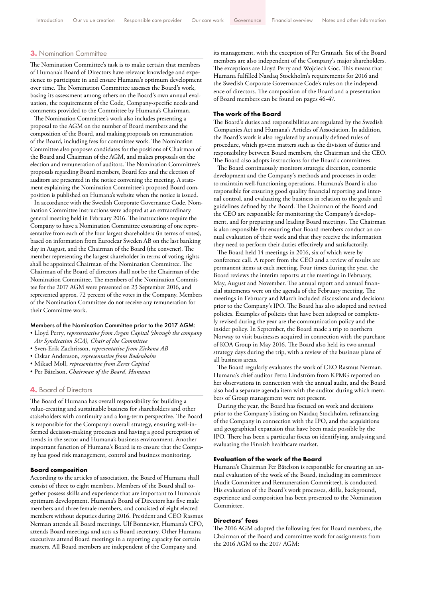#### **3.** Nomination Committee

The Nomination Committee's task is to make certain that members of Humana's Board of Directors have relevant knowledge and experience to participate in and ensure Humana's optimum development over time. The Nomination Committee assesses the Board's work, basing its assessment among others on the Board's own annual evaluation, the requirements of the Code, Company-specific needs and comments provided to the Committee by Humana's Chairman.

The Nomination Committee's work also includes presenting a proposal to the AGM on the number of Board members and the composition of the Board, and making proposals on remuneration of the Board, including fees for committee work. The Nomination Committee also proposes candidates for the positions of Chairman of the Board and Chairman of the AGM, and makes proposals on the election and remuneration of auditors. The Nomination Committee's proposals regarding Board members, Board fees and the election of auditors are presented in the notice convening the meeting. A statement explaining the Nomination Committee's proposed Board composition is published on Humana's website when the notice is issued.

In accordance with the Swedish Corporate Governance Code, Nomination Committee instructions were adopted at an extraordinary general meeting held in February 2016. The instructions require the Company to have a Nomination Committee consisting of one representative from each of the four largest shareholders (in terms of votes), based on information from Euroclear Sweden AB on the last banking day in August, and the Chairman of the Board (the convener). The member representing the largest shareholder in terms of voting rights shall be appointed Chairman of the Nomination Committee. The Chairman of the Board of directors shall not be the Chairman of the Nomination Committee. The members of the Nomination Committee for the 2017 AGM were presented on 23 September 2016, and represented approx. 72 percent of the votes in the Company. Members of the Nomination Committee do not receive any remuneration for their Committee work.

#### Members of the Nomination Committee prior to the 2017 AGM:

- Lloyd Perry, *representative from Argan Capital (through the company Air Syndication SCA), Chair of the Committee*
- Sven-Erik Zachrisson, *representative from Zirkona AB*
- Oskar Andersson, *representative from Bodenholm*
- Mikael Moll, *representative from Zeres Capital*
- Per Båtelson, *Chairman of the Board, Humana*

#### **4.** Board of Directors

The Board of Humana has overall responsibility for building a value-creating and sustainable business for shareholders and other stakeholders with continuity and a long-term perspective. The Board is responsible for the Company's overall strategy, ensuring well-informed decision-making processes and having a good perception of trends in the sector and Humana's business environment. Another important function of Humana's Board is to ensure that the Company has good risk management, control and business monitoring.

#### **Board composition**

According to the articles of association, the Board of Humana shall consist of three to eight members. Members of the Board shall together possess skills and experience that are important to Humana's optimum development. Humana's Board of Directors has five male members and three female members, and consisted of eight elected members without deputies during 2016. President and CEO Rasmus Nerman attends all Board meetings. Ulf Bonnevier, Humana's CFO, attends Board meetings and acts as Board secretary. Other Humana executives attend Board meetings in a reporting capacity for certain matters. All Board members are independent of the Company and

its management, with the exception of Per Granath. Six of the Board members are also independent of the Company's major shareholders. The exceptions are Lloyd Perry and Wojciech Goc. This means that Humana fulfilled Nasdaq Stockholm's requirements for 2016 and the Swedish Corporate Governance Code's rules on the independence of directors. The composition of the Board and a presentation of Board members can be found on pages 46-47.

#### **The work of the Board**

The Board's duties and responsibilities are regulated by the Swedish Companies Act and Humana's Articles of Association. In addition, the Board's work is also regulated by annually defined rules of procedure, which govern matters such as the division of duties and responsibility between Board members, the Chairman and the CEO. The Board also adopts instructions for the Board's committees.

The Board continuously monitors strategic direction, economic development and the Company's methods and processes in order to maintain well-functioning operations. Humana's Board is also responsible for ensuring good quality financial reporting and internal control, and evaluating the business in relation to the goals and guidelines defined by the Board. The Chairman of the Board and the CEO are responsible for monitoring the Company's development, and for preparing and leading Board meetings. The Chairman is also responsible for ensuring that Board members conduct an annual evaluation of their work and that they receive the information they need to perform their duties effectively and satisfactorily.

The Board held 14 meetings in 2016, six of which were by conference call. A report from the CEO and a review of results are permanent items at each meeting. Four times during the year, the Board reviews the interim reports: at the meetings in February, May, August and November. The annual report and annual financial statements were on the agenda of the February meeting. The meetings in February and March included discussions and decisions prior to the Company's IPO. The Board has also adopted and revised policies. Examples of policies that have been adopted or completely revised during the year are the communication policy and the insider policy. In September, the Board made a trip to northern Norway to visit businesses acquired in connection with the purchase of KOA Group in May 2016. The Board also held its two annual strategy days during the trip, with a review of the business plans of all business areas.

The Board regularly evaluates the work of CEO Rasmus Nerman. Humana's chief auditor Petra Lindström from KPMG reported on her observations in connection with the annual audit, and the Board also had a separate agenda item with the auditor during which members of Group management were not present.

During the year, the Board has focused on work and decisions prior to the Company's listing on Nasdaq Stockholm, refinancing of the Company in connection with the IPO, and the acquisitions and geographical expansion that have been made possible by the IPO. There has been a particular focus on identifying, analysing and evaluating the Finnish healthcare market.

#### **Evaluation of the work of the Board**

Humana's Chairman Per Båtelson is responsible for ensuring an annual evaluation of the work of the Board, including its committees (Audit Committee and Remuneration Committee), is conducted. His evaluation of the Board's work processes, skills, background, experience and composition has been presented to the Nomination Committee.

#### **Directors' fees**

The 2016 AGM adopted the following fees for Board members, the Chairman of the Board and committee work for assignments from the 2016 AGM to the 2017 AGM: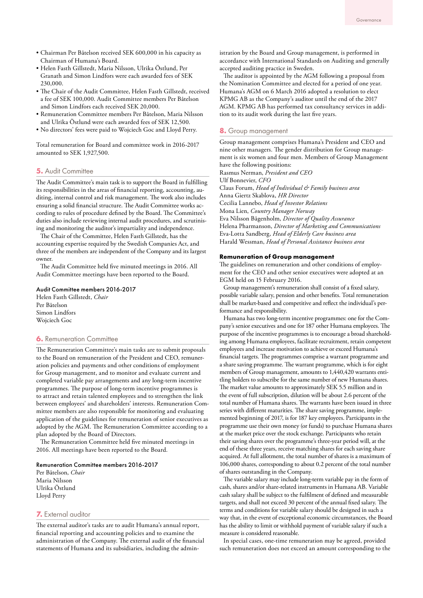- Chairman Per Båtelson received SEK 600,000 in his capacity as Chairman of Humana's Board.
- Helen Fasth Gillstedt, Maria Nilsson, Ulrika Östlund, Per Granath and Simon Lindfors were each awarded fees of SEK 230,000.
- The Chair of the Audit Committee, Helen Fasth Gillstedt, received a fee of SEK 100,000. Audit Committee members Per Båtelson and Simon Lindfors each received SEK 20,000.
- Remuneration Committee members Per Båtelson, Maria Nilsson and Ulrika Östlund were each awarded fees of SEK 12,500.
- No directors' fees were paid to Wojciech Goc and Lloyd Perry.

Total remuneration for Board and committee work in 2016-2017 amounted to SEK 1,927,500.

#### **5.** Audit Committee

The Audit Committee's main task is to support the Board in fulfilling its responsibilities in the areas of financial reporting, accounting, auditing, internal control and risk management. The work also includes ensuring a solid financial structure. The Audit Committee works according to rules of procedure defined by the Board. The Committee's duties also include reviewing internal audit procedures, and scrutinising and monitoring the auditor's impartiality and independence.

The Chair of the Committee, Helen Fasth Gillstedt, has the accounting expertise required by the Swedish Companies Act, and three of the members are independent of the Company and its largest owner.

The Audit Committee held five minuted meetings in 2016. All Audit Committee meetings have been reported to the Board.

#### Audit Committee members 2016-2017

Helen Fasth Gillstedt, *Chair* Per Båtelson Simon Lindfors Wojciech Goc

#### **6.** Remuneration Committee

The Remuneration Committee's main tasks are to submit proposals to the Board on remuneration of the President and CEO, remuneration policies and payments and other conditions of employment for Group management, and to monitor and evaluate current and completed variable pay arrangements and any long-term incentive programmes. The purpose of long-term incentive programmes is to attract and retain talented employees and to strengthen the link between employees' and shareholders' interests. Remuneration Committee members are also responsible for monitoring and evaluating application of the guidelines for remuneration of senior executives as adopted by the AGM. The Remuneration Committee according to a plan adopted by the Board of Directors.

The Remuneration Committee held five minuted meetings in 2016. All meetings have been reported to the Board.

#### Remuneration Committee members 2016-2017

Per Båtelson, *Chair* Maria Nilsson Ulrika Östlund Lloyd Perry

#### **7.** External auditor

The external auditor's tasks are to audit Humana's annual report, financial reporting and accounting policies and to examine the administration of the Company. The external audit of the financial statements of Humana and its subsidiaries, including the administration by the Board and Group management, is performed in accordance with International Standards on Auditing and generally accepted auditing practice in Sweden.

The auditor is appointed by the AGM following a proposal from the Nomination Committee and elected for a period of one year. Humana's AGM on 6 March 2016 adopted a resolution to elect KPMG AB as the Company's auditor until the end of the 2017 AGM. KPMG AB has performed tax consultancy services in addition to its audit work during the last five years.

#### **8.** Group management

Group management comprises Humana's President and CEO and nine other managers. The gender distribution for Group management is six women and four men. Members of Group Management have the following positions: Rasmus Nerman, *President and CEO* Ulf Bonnevier, *CFO* Claus Forum, *Head of Individual & Family business area* Anna Giertz Skablova, *HR Director* Cecilia Lannebo, *Head of Investor Relations* Mona Lien, *Country Manager Norway* Eva Nilsson Bågenholm, *Director of Quality Assurance*  Helena Pharmanson, *Director of Marketing and Communications*  Eva-Lotta Sandberg, *Head of Elderly Care business area* Harald Wessman, *Head of Personal Assistance business area* 

#### **Remuneration of Group management**

The guidelines on remuneration and other conditions of employment for the CEO and other senior executives were adopted at an EGM held on 15 February 2016.

Group management's remuneration shall consist of a fixed salary, possible variable salary, pension and other benefits. Total remuneration shall be market-based and competitive and reflect the individual's performance and responsibility.

Humana has two long-term incentive programmes: one for the Company's senior executives and one for 187 other Humana employees. The purpose of the incentive programmes is to encourage a broad shareholding among Humana employees, facilitate recruitment, retain competent employees and increase motivation to achieve or exceed Humana's financial targets. The programmes comprise a warrant programme and a share saving programme. The warrant programme, which is for eight members of Group management, amounts to 1,440,420 warrants entitling holders to subscribe for the same number of new Humana shares. The market value amounts to approximately SEK 5.5 million and in the event of full subscription, dilution will be about 2.6 percent of the total number of Humana shares. The warrants have been issued in three series with different maturities. The share saving programme, implemented beginning of 2017, is for 187 key employees. Participants in the programme use their own money (or funds) to purchase Humana shares at the market price over the stock exchange. Participants who retain their saving shares over the programme's three-year period will, at the end of these three years, receive matching shares for each saving share acquired. At full allotment, the total number of shares is a maximum of 106,000 shares, corresponding to about 0.2 percent of the total number of shares outstanding in the Company.

The variable salary may include long-term variable pay in the form of cash, shares and/or share-related instruments in Humana AB. Variable cash salary shall be subject to the fulfilment of defined and measurable targets, and shall not exceed 30 percent of the annual fixed salary. The terms and conditions for variable salary should be designed in such a way that, in the event of exceptional economic circumstances, the Board has the ability to limit or withhold payment of variable salary if such a measure is considered reasonable.

In special cases, one-time remuneration may be agreed, provided such remuneration does not exceed an amount corresponding to the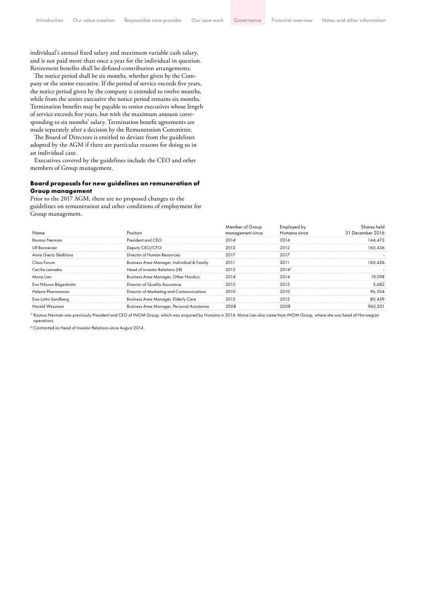individual's annual fixed salary and maximum variable cash salary, and is not paid more than once a year for the individual in question. Retirement benefits shall be defined-contribution arrangements.

The notice period shall be six months, whether given by the Company or the senior executive. If the period of service exceeds five years, the notice period given by the company is extended to twelve months, while from the senior executive the notice period remains six months. Termination benefits may be payable to senior executives whose length of service exceeds five years, but with the maximum amount corresponding to six months' salary. Termination benefit agreements are made separately after a decision by the Remuneration Committee.

The Board of Directors is entitled to deviate from the guidelines adopted by the AGM if there are particular reasons for doing so in an individual case.

Executives covered by the guidelines include the CEO and other members of Group management.

#### **Board proposals for new guidelines on remuneration of Group management**

Prior to the 2017 AGM, there are no proposed changes to the guidelines on remuneration and other conditions of employment for Group management.

| Name                  | Position                                   | Member of Group<br>management since | Employed by<br>Humana since | Shares held<br>31 December 2016 |  |
|-----------------------|--------------------------------------------|-------------------------------------|-----------------------------|---------------------------------|--|
| Rasmus Nerman         | President and CEO                          | 2014'                               | 2014                        | 144.473                         |  |
| Ulf Bonnevier         | Deputy CEO/CFO                             | 2012                                | 2012                        | 160,436                         |  |
| Anna Giertz Skablova  | Director of Human Resources                | 2017                                | 2017                        |                                 |  |
| Claus Forum           | Business Area Manager, Individual & Family | 2011                                | 2011                        | 160,436                         |  |
| Cecilia Lannebo       | Head of Investor Relations (IR)            | 2015                                | $2014^2$                    |                                 |  |
| Mona Lien             | Business Area Manager, Other Nordics       | 2014'                               | 2014                        | 19.098                          |  |
| Eva Nilsson Bågenholm | Director of Quality Assurance              | 2015                                | 2015                        | 3,682                           |  |
| Helena Pharmanson     | Director of Marketing and Communications   | 2010                                | 2010                        | 96,504                          |  |
| Eva-Lotta Sandberg    | <b>Business Area Manager, Elderly Care</b> | 2013                                | 2012                        | 80,459                          |  |
| Harald Wessman        | Business Area Manager, Personal Assistance | 2008                                | 2008                        | 960.201                         |  |

1) Rasmus Nerman was previously President and CEO of INOM Group, which was acquired by Humana in 2014. Mona Lien also came from INOM Group, where she was head of Norwegian operations.

<sup>2)</sup> Contracted as Head of Investor Relations since August 2014.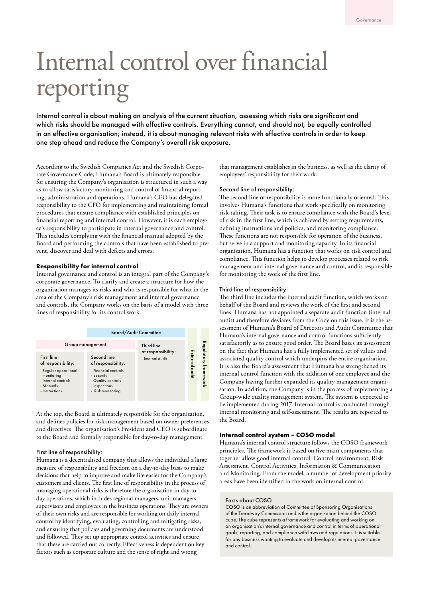## Internal control over financial reporting

Internal control is about making an analysis of the current situation, assessing which risks are significant and which risks should be managed with effective controls. Everything cannot, and should not, be equally controlled in an effective organisation; instead, it is about managing relevant risks with effective controls in order to keep one step ahead and reduce the Company's overall risk exposure.

According to the Swedish Companies Act and the Swedish Corporate Governance Code, Humana's Board is ultimately responsible for ensuring the Company's organisation is structured in such a way as to allow satisfactory monitoring and control of financial reporting, administration and operations. Humana's CEO has delegated responsibility to the CFO for implementing and maintaining formal procedures that ensure compliance with established principles on financial reporting and internal control. However, it is each employee's responsibility to participate in internal governance and control. This includes complying with the financial manual adopted by the Board and performing the controls that have been established to prevent, discover and deal with defects and errors.

#### **Responsibility for internal control**

Internal governance and control is an integral part of the Company's corporate governance. To clarify and create a structure for how the organisation manages its risks and who is responsible for what in the area of the Company's risk management and internal governance and controls, the Company works on the basis of a model with three lines of responsibility for its control work.



At the top, the Board is ultimately responsible for the organisation, and defines policies for risk management based on owner preferences and directives. The organisation's President and CEO is subordinate to the Board and formally responsible for day-to-day management.

#### First line of responsibility:

Humana is a decentralised company that allows the individual a large measure of responsibility and freedom on a day-to-day basis to make decisions that help to improve and make life easier for the Company's customers and clients. The first line of responsibility in the process of managing operational risks is therefore the organisation in day-today operations, which includes regional managers, unit managers, supervisors and employees in the business operations. They are owners of their own risks and are responsible for working on daily internal control by identifying, evaluating, controlling and mitigating risks, and ensuring that policies and governing documents are understood and followed. They set up appropriate control activities and ensure that these are carried out correctly. Effectiveness is dependent on key factors such as corporate culture and the sense of right and wrong

that management establishes in the business, as well as the clarity of employees' responsibility for their work.

#### Second line of responsibility:

The second line of responsibility is more functionally oriented. This involves Humana's functions that work specifically on monitoring risk-taking. Their task is to ensure compliance with the Board's level of risk in the first line, which is achieved by setting requirements, defining instructions and policies, and monitoring compliance. These functions are not responsible for operation of the business, but serve in a support and monitoring capacity. In its financial organisation, Humana has a function that works on risk control and compliance. This function helps to develop processes related to risk management and internal governance and control, and is responsible for monitoring the work of the first line.

#### Third line of responsibility:

The third line includes the internal audit function, which works on behalf of the Board and reviews the work of the first and second lines. Humana has not appointed a separate audit function (internal audit) and therefore deviates from the Code on this issue. It is the assessment of Humana's Board of Directors and Audit Committee that Humana's internal governance and control functions sufficiently satisfactorily as to ensure good order. The Board bases its assessment on the fact that Humana has a fully implemented set of values and associated quality control which underpins the entire organisation. It is also the Board's assessment that Humana has strengthened its internal control function with the addition of one employee and the Company having further expanded its quality management organisation. In addition, the Company is in the process of implementing a Group-wide quality management system. The system is expected to be implemented during 2017. Internal control is conducted through internal monitoring and self-assessment. The results are reported to the Board.

#### **Internal control system – COSO model**

Humana's internal control structure follows the COSO framework principles. The framework is based on five main components that together allow good internal control: Control Environment, Risk Assessment, Control Activities, Information & Communication and Monitoring. From the model, a number of development priority areas have been identified in the work on internal control.

#### Facts about COSO

COSO is an abbreviation of Committee of Sponsoring Organisations of the Treadway Commission and is the organisation behind the COSO cube. The cube represents a framework for evaluating and working on an organisation's internal governance and control in terms of operational goals, reporting, and compliance with laws and regulations. It is suitable for any business wanting to evaluate and develop its internal governance and control.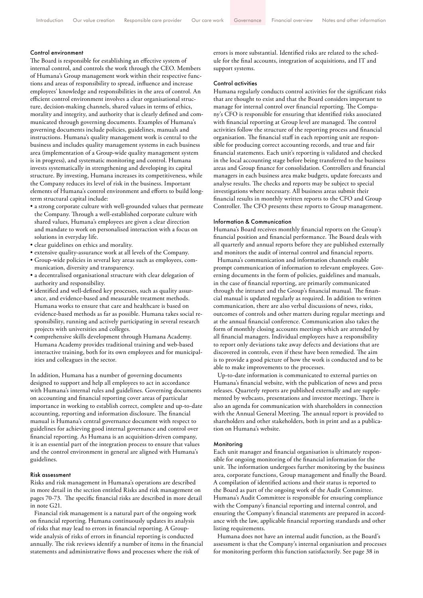#### Control environment

The Board is responsible for establishing an effective system of internal control, and controls the work through the CEO. Members of Humana's Group management work within their respective functions and areas of responsibility to spread, influence and increase employees' knowledge and responsibilities in the area of control. An efficient control environment involves a clear organisational structure, decision-making channels, shared values in terms of ethics, morality and integrity, and authority that is clearly defined and communicated through governing documents. Examples of Humana's governing documents include policies, guidelines, manuals and instructions. Humana's quality management work is central to the business and includes quality management systems in each business area (implementation of a Group-wide quality management system is in progress), and systematic monitoring and control. Humana invests systematically in strengthening and developing its capital structure. By investing, Humana increases its competitiveness, while the Company reduces its level of risk in the business. Important elements of Humana's control environment and efforts to build longterm structural capital include:

- a strong corporate culture with well-grounded values that permeate the Company. Through a well-established corporate culture with shared values, Humana's employees are given a clear direction and mandate to work on personalised interaction with a focus on solutions in everyday life.
- clear guidelines on ethics and morality.
- extensive quality-assurance work at all levels of the Company.
- Group-wide policies in several key areas such as employees, communication, diversity and transparency.
- a decentralised organisational structure with clear delegation of authority and responsibility.
- identified and well-defined key processes, such as quality assurance, and evidence-based and measurable treatment methods. Humana works to ensure that care and healthcare is based on evidence-based methods as far as possible. Humana takes social responsibility, running and actively participating in several research projects with universities and colleges.
- comprehensive skills development through Humana Academy. Humana Academy provides traditional training and web-based interactive training, both for its own employees and for municipalities and colleagues in the sector.

In addition, Humana has a number of governing documents designed to support and help all employees to act in accordance with Humana's internal rules and guidelines. Governing documents on accounting and financial reporting cover areas of particular importance in working to establish correct, complete and up-to-date accounting, reporting and information disclosure. The financial manual is Humana's central governance document with respect to guidelines for achieving good internal governance and control over financial reporting. As Humana is an acquisition-driven company, it is an essential part of the integration process to ensure that values and the control environment in general are aligned with Humana's guidelines.

#### Risk assessment

Risks and risk management in Humana's operations are described in more detail in the section entitled Risks and risk management on pages 70-73. The specific financial risks are described in more detail in note G21.

Financial risk management is a natural part of the ongoing work on financial reporting. Humana continuously updates its analysis of risks that may lead to errors in financial reporting. A Groupwide analysis of risks of errors in financial reporting is conducted annually. The risk reviews identify a number of items in the financial statements and administrative flows and processes where the risk of

errors is more substantial. Identified risks are related to the schedule for the final accounts, integration of acquisitions, and IT and support systems.

#### Control activities

Humana regularly conducts control activities for the significant risks that are thought to exist and that the Board considers important to manage for internal control over financial reporting. The Company's CFO is responsible for ensuring that identified risks associated with financial reporting at Group level are managed. The control activities follow the structure of the reporting process and financial organisation. The financial staff in each reporting unit are responsible for producing correct accounting records, and true and fair financial statements. Each unit's reporting is validated and checked in the local accounting stage before being transferred to the business areas and Group finance for consolidation. Controllers and financial managers in each business area make budgets, update forecasts and analyse results. The checks and reports may be subject to special investigations where necessary. All business areas submit their financial results in monthly written reports to the CFO and Group Controller. The CFO presents these reports to Group management.

#### Information & Communication

Humana's Board receives monthly financial reports on the Group's financial position and financial performance. The Board deals with all quarterly and annual reports before they are published externally and monitors the audit of internal control and financial reports.

Humana's communication and information channels enable prompt communication of information to relevant employees. Governing documents in the form of policies, guidelines and manuals, in the case of financial reporting, are primarily communicated through the intranet and the Group's financial manual. The financial manual is updated regularly as required. In addition to written communication, there are also verbal discussions of news, risks, outcomes of controls and other matters during regular meetings and at the annual financial conference. Communication also takes the form of monthly closing accounts meetings which are attended by all financial managers. Individual employees have a responsibility to report only deviations take away defects and deviations that are discovered in controls, even if these have been remedied. The aim is to provide a good picture of how the work is conducted and to be able to make improvements to the processes.

Up-to-date information is communicated to external parties on Humana's financial website, with the publication of news and press releases. Quarterly reports are published externally and are supplemented by webcasts, presentations and investor meetings. There is also an agenda for communication with shareholders in connection with the Annual General Meeting. The annual report is provided to shareholders and other stakeholders, both in print and as a publication on Humana's website.

#### **Monitoring**

Each unit manager and financial organisation is ultimately responsible for ongoing monitoring of the financial information for the unit. The information undergoes further monitoring by the business area, corporate functions, Group management and finally the Board. A compilation of identified actions and their status is reported to the Board as part of the ongoing work of the Audit Committee. Humana's Audit Committee is responsible for ensuring compliance with the Company's financial reporting and internal control, and ensuring the Company's financial statements are prepared in accordance with the law, applicable financial reporting standards and other listing requirements.

Humana does not have an internal audit function, as the Board's assessment is that the Company's internal organisation and processes for monitoring perform this function satisfactorily. See page 38 in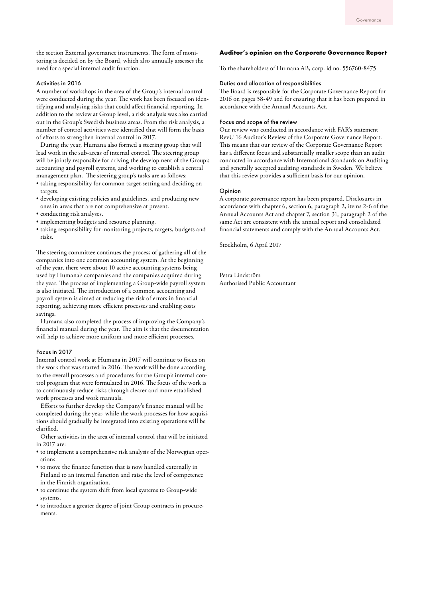the section External governance instruments. The form of monitoring is decided on by the Board, which also annually assesses the need for a special internal audit function.

#### Activities in 2016

A number of workshops in the area of the Group's internal control were conducted during the year. The work has been focused on identifying and analysing risks that could affect financial reporting. In addition to the review at Group level, a risk analysis was also carried out in the Group's Swedish business areas. From the risk analysis, a number of control activities were identified that will form the basis of efforts to strengthen internal control in 2017.

During the year, Humana also formed a steering group that will lead work in the sub-areas of internal control. The steering group will be jointly responsible for driving the development of the Group's accounting and payroll systems, and working to establish a central management plan. The steering group's tasks are as follows:

- taking responsibility for common target-setting and deciding on targets.
- developing existing policies and guidelines, and producing new ones in areas that are not comprehensive at present.
- conducting risk analyses.
- implementing budgets and resource planning.
- taking responsibility for monitoring projects, targets, budgets and risks.

The steering committee continues the process of gathering all of the companies into one common accounting system. At the beginning of the year, there were about 10 active accounting systems being used by Humana's companies and the companies acquired during the year. The process of implementing a Group-wide payroll system is also initiated. The introduction of a common accounting and payroll system is aimed at reducing the risk of errors in financial reporting, achieving more efficient processes and enabling costs savings.

Humana also completed the process of improving the Company's financial manual during the year. The aim is that the documentation will help to achieve more uniform and more efficient processes.

#### Focus in 2017

Internal control work at Humana in 2017 will continue to focus on the work that was started in 2016. The work will be done according to the overall processes and procedures for the Group's internal control program that were formulated in 2016. The focus of the work is to continuously reduce risks through clearer and more established work processes and work manuals.

Efforts to further develop the Company's finance manual will be completed during the year, while the work processes for how acquisitions should gradually be integrated into existing operations will be clarified.

Other activities in the area of internal control that will be initiated in 2017 are:

- to implement a comprehensive risk analysis of the Norwegian operations.
- to move the finance function that is now handled externally in Finland to an internal function and raise the level of competence in the Finnish organisation.
- to continue the system shift from local systems to Group-wide systems.
- to introduce a greater degree of joint Group contracts in procurements.

#### **Auditor's opinion on the Corporate Governance Report**

To the shareholders of Humana AB, corp. id no. 556760-8475

#### Duties and allocation of responsibilities

The Board is responsible for the Corporate Governance Report for 2016 on pages 38-49 and for ensuring that it has been prepared in accordance with the Annual Accounts Act.

#### Focus and scope of the review

Our review was conducted in accordance with FAR's statement RevU 16 Auditor's Review of the Corporate Governance Report. This means that our review of the Corporate Governance Report has a different focus and substantially smaller scope than an audit conducted in accordance with International Standards on Auditing and generally accepted auditing standards in Sweden. We believe that this review provides a sufficient basis for our opinion.

#### Opinion

A corporate governance report has been prepared. Disclosures in accordance with chapter 6, section 6, paragraph 2, items 2-6 of the Annual Accounts Act and chapter 7, section 31, paragraph 2 of the same Act are consistent with the annual report and consolidated financial statements and comply with the Annual Accounts Act.

Stockholm, 6 April 2017

Petra Lindström Authorised Public Accountant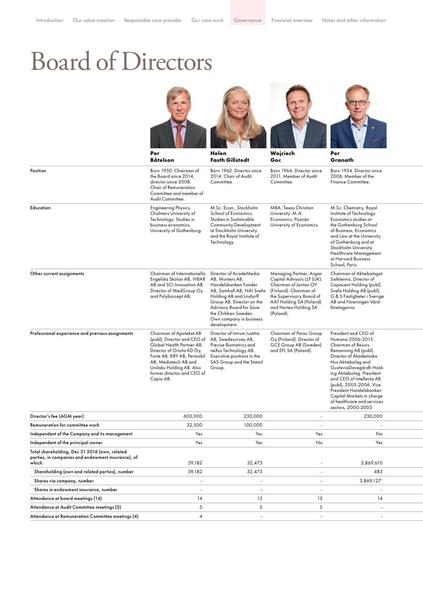### Board of Directors









|                                                                                                               | Per<br><b>Båtelson</b>                                                                                                                                                                                                                        | Helen<br><b>Fasth Gillstedt</b>                                                                                                                                                                                                                      | Wojciech<br>Goc                                                                                                                                                                                       | Per<br>Granath                                                                                                                                                                                                                                                                                                                                                      |  |
|---------------------------------------------------------------------------------------------------------------|-----------------------------------------------------------------------------------------------------------------------------------------------------------------------------------------------------------------------------------------------|------------------------------------------------------------------------------------------------------------------------------------------------------------------------------------------------------------------------------------------------------|-------------------------------------------------------------------------------------------------------------------------------------------------------------------------------------------------------|---------------------------------------------------------------------------------------------------------------------------------------------------------------------------------------------------------------------------------------------------------------------------------------------------------------------------------------------------------------------|--|
| Position                                                                                                      | Born 1950. Chairman of<br>the Board since 2014,<br>director since 2008.<br>Chair of Remuneration<br>Committee and member of<br>Audit Committee.                                                                                               | Born 1962. Director since<br>2014. Chair of Audit<br>Committee.                                                                                                                                                                                      | Born 1966. Director since<br>2011. Member of Audit<br>Committee.                                                                                                                                      | Born 1954. Director since<br>2006. Member of the<br>Finance Committee.                                                                                                                                                                                                                                                                                              |  |
| Education                                                                                                     | <b>Engineering Physics,</b><br>Chalmers University of<br>Technology. Studies in<br>business economics,<br>University of Gothenburg.                                                                                                           | M.Sc. Econ., Stockholm<br>School of Economics.<br>Studies in Sustainable<br><b>Community Development</b><br>at Stockholm University<br>and the Royal Institute of<br>Technology.                                                                     | MBA, Texas Christian<br>University. M.A.<br>Economics, Poznán<br>University of Economics.                                                                                                             | M.Sc. Chemistry, Royal<br>Institute of Technology.<br>Economics studies at<br>the Gothenburg School<br>of Business, Economics<br>and Law at the University<br>of Gothenburg and at<br>Stockholm University.<br><b>Healthcare Management</b><br>at Harvard Business<br>School, Paris.                                                                                |  |
| Other current assignments                                                                                     | Chairman of Internationella<br>Engelska Skolan AB, IVBAR<br>AB and SCI Innovation AB.<br>Director of MedGroup Oy<br>and Polybiocept AB.                                                                                                       | Director of AcadeMedia<br>AB, Munters AB,<br>Handelsbanken Fonder<br>AB, Samhall AB, NAI Svefa<br>Holding AB and Lindorff<br>Group AB. Director on the<br>Advisory Board for Save<br>the Children Sweden.<br>Own company in business<br>development. | Managing Partner, Argan<br>Capital Advisors LLP (UK).<br>Chairman of Janton OY<br>(Finland). Chairman of<br>the Supervisory Board of<br>AAT Holding SA (Poland)<br>and Hortex Holding SA<br>(Poland). | Chairman of Aktiebolaget<br>Salktennis. Director of<br>Capacent Holding (publ),<br>Svefa Holding AB (publ),<br>G & S Fastigheter i Sverige<br>AB and Föreningen Vård-<br>företagarna.                                                                                                                                                                               |  |
| Professional experience and previous assignments                                                              | Chairman of Apoteket AB<br>(publ). Director and CEO of<br>Global Health Partner AB.<br>Director of Oriola KD Oy,<br>Forte AB, KRY AB, Permobil<br>AB, Mediatech AB and<br>Unilabs Holding AB. Also<br>former director and CEO of<br>Capio AB. | Director of Intrum Justitia<br>AB, Swedesurvey AB,<br>Precise Biometrics and<br>neXus Technology AB.<br>Executive positions in the<br>SAS Group and the Statoil<br>Group.                                                                            | Chairman of Paroc Group<br>Oy (Finland). Director of<br>GCE Group AB (Sweden)<br>and EFL SA (Poland).                                                                                                 | President and CEO of<br>Humana 2006-2015.<br>Chairman of Resurs<br>Bemanning AB (publ).<br>Director of Akademiska<br>Hus Aktiebolag and<br>GustaviaDavegårdh Hold-<br>ing Aktiebolag. President<br>and CEO of Intellecta AB<br>(publ), 2003-2006. Vice<br>President Handelsbanken<br>Capital Markets in charge<br>of healthcare and services<br>sectors, 2000-2003. |  |
| Director's fee (AGM year)                                                                                     | 600,000                                                                                                                                                                                                                                       | 230,000                                                                                                                                                                                                                                              | $\overline{\phantom{a}}$                                                                                                                                                                              | 230,000                                                                                                                                                                                                                                                                                                                                                             |  |
| Remuneration for committee work                                                                               | 32,500                                                                                                                                                                                                                                        | 100,000                                                                                                                                                                                                                                              |                                                                                                                                                                                                       |                                                                                                                                                                                                                                                                                                                                                                     |  |
| Independent of the Company and its management                                                                 | Yes                                                                                                                                                                                                                                           | Yes                                                                                                                                                                                                                                                  | Yes                                                                                                                                                                                                   | No                                                                                                                                                                                                                                                                                                                                                                  |  |
| Independent of the principal owner                                                                            | Yes                                                                                                                                                                                                                                           | Yes                                                                                                                                                                                                                                                  | No                                                                                                                                                                                                    | Yes                                                                                                                                                                                                                                                                                                                                                                 |  |
| Total shareholding, Dec 31 2016 (own, related<br>parties, in companies and endowment insurance), of<br>which: | 59,182                                                                                                                                                                                                                                        | 32,473                                                                                                                                                                                                                                               | $\overline{\phantom{a}}$                                                                                                                                                                              | 3,869,610                                                                                                                                                                                                                                                                                                                                                           |  |
| Shareholding (own and related parties), number                                                                | 59,182                                                                                                                                                                                                                                        | 32,473                                                                                                                                                                                                                                               | $\sim$                                                                                                                                                                                                | 483                                                                                                                                                                                                                                                                                                                                                                 |  |
| Shares via company, number                                                                                    |                                                                                                                                                                                                                                               |                                                                                                                                                                                                                                                      | $\sim$                                                                                                                                                                                                | 3,869,127                                                                                                                                                                                                                                                                                                                                                           |  |
| Shares in endowment insurance, number                                                                         |                                                                                                                                                                                                                                               |                                                                                                                                                                                                                                                      | ÷.                                                                                                                                                                                                    |                                                                                                                                                                                                                                                                                                                                                                     |  |

Attendance at board meetings (14) 14 14 13 13 14 14 14 14 13 13 14 14 14 15 15 16 17 17 17 17 17 17 17 17 17 1 Attendance at Audit Committee meetings (5) 5 5 5 - 4 - - - Attendance at Remuneration Committee meetings (4) 4 - - - - 4 4 4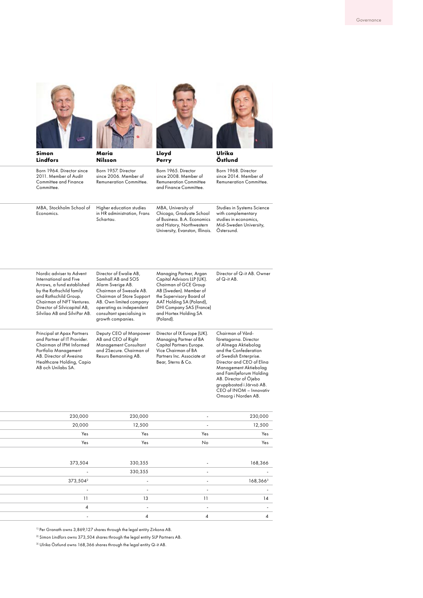

Chairman of NFT Ventures. Director of Silvicapital AB, Silvilao AB and SilviPar AB.

Principal at Apax Partners and Partner of IT Provider. Chairman of IPM Informed Portfolio Management AB. Director of Avesina Healthcare Holding, Capio AB och Unilabs SA.



AB. Own limited company operating as independent consultant specialising in growth companies.

Deputy CEO of Manpower AB and CEO of Right Management Consultant and 2Secure. Chairman of Resurs Bemanning AB.



AAT Holding SA (Poland), DHI Company SAS (France) and Hortex Holding SA

Director of IX Europe (UK). Managing Partner of BA Capital Partners Europe. Vice Chairman of BA Partners Inc. Associate at Bear, Sterns & Co.

(Poland).



| Simon<br><b>Lindfors</b> |                                                                                                                                       | Maria<br><b>Nilsson</b>                                                                                                   | Lloyd<br>Perry                                                                                                                                | Ulrika<br>Östlund                                                                                                 |  |  |
|--------------------------|---------------------------------------------------------------------------------------------------------------------------------------|---------------------------------------------------------------------------------------------------------------------------|-----------------------------------------------------------------------------------------------------------------------------------------------|-------------------------------------------------------------------------------------------------------------------|--|--|
|                          | Born 1964. Director since<br>2011. Member of Audit<br><b>Committee and Finance</b><br>Committee.                                      | Born 1957. Director<br>since 2006. Member of<br><b>Remuneration Committee.</b>                                            | Born 1965. Director<br>since 2008. Member of<br><b>Remuneration Committee</b><br>and Finance Committee.                                       | Born 1968. Director<br>since 2014. Member of<br><b>Remuneration Committee.</b>                                    |  |  |
|                          | MBA, Stockholm School of<br>Economics.                                                                                                | Higher education studies<br>in HR administration, Frans<br>Schartau.                                                      | MBA, University of<br>Chicago, Graduate School<br>of Business, B.A. Economics<br>and History, Northwestern<br>University, Evanston, Illinois. | Studies in Systems Science<br>with complementary<br>studies in economics,<br>Mid-Sweden University,<br>Ostersund. |  |  |
|                          | Nordic adviser to Advent<br>International and Five<br>Arrows, a fund established<br>by the Rothschild family<br>and Rothschild Group. | Director of Ewalie AB,<br>Samhall AB and SOS<br>Alarm Sverige AB.<br>Chairman of Swesale AB.<br>Chairman of Store Support | Managing Partner, Argan<br>Capital Advisors LLP (UK).<br>Chairman of GCE Group<br>AB (Sweden). Member of<br>the Supervisory Board of          | Director of Q-it AB, Owner<br>of $Q$ -it AB.                                                                      |  |  |

Chairman of Vårdföretagarna. Director of Almega Aktiebolag and the Confederation of Swedish Enterprise. Director and CEO of Elina Management Aktiebolag and Familjeforum Holding AB. Director of Öjebo gruppbostad i Järvsö AB. CEO of INOM – Innovativ Omsorg i Norden AB.

| 230,000        | $\sim$ | 230,000                  | 230,000              |
|----------------|--------|--------------------------|----------------------|
| 12,500         | $\sim$ | 12,500                   | 20,000               |
| Yes            | Yes    | Yes                      | Yes                  |
| Yes            | No     | Yes                      | Yes                  |
|                |        |                          |                      |
| 168,366        | $\sim$ | 330,355                  | 373,504              |
| $\sim$         | $\sim$ | 330,355                  | $\sim$               |
| 168,3663       | $\sim$ | $\sim$                   | 373,504 <sup>2</sup> |
| $\sim$ $-$     | $\sim$ | $\sim$                   | $\sim 100$           |
| 14             | 11     | 13                       | 11                   |
| $\sim$ $-$     | $\sim$ | <b>Contract Contract</b> |                      |
| $\overline{4}$ |        |                          | $\sim$               |
|                |        |                          |                      |

1) Per Granath owns 3,869,127 shares through the legal entity Zirkona AB.

 $^{\rm 2)}$  Simon Lindfors owns 373,504 shares through the legal entity SLP Partners AB.

<sup>3)</sup> Ulrika Östlund owns 168,366 shares through the legal entity Q-it AB.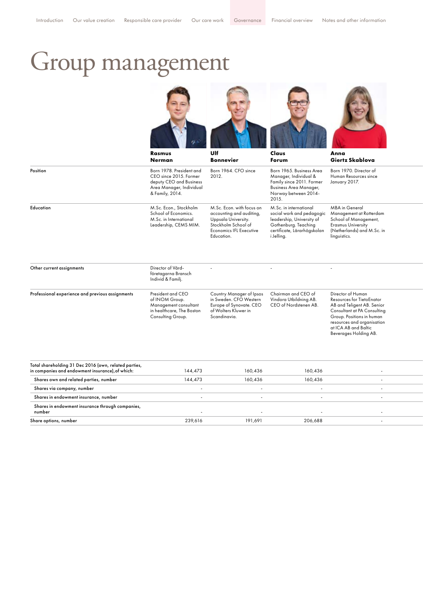# Group management









|                                                  | Rasmus<br><b>Nerman</b>                                                                                                      | Ulf<br><b>Bonnevier</b>                                                                                                                             | Claus<br>Forum                                                                                                                                        | Anna<br>Giertz Skablova                                                                                                                                                                                                 |
|--------------------------------------------------|------------------------------------------------------------------------------------------------------------------------------|-----------------------------------------------------------------------------------------------------------------------------------------------------|-------------------------------------------------------------------------------------------------------------------------------------------------------|-------------------------------------------------------------------------------------------------------------------------------------------------------------------------------------------------------------------------|
| Position                                         | Born 1978. President and<br>CEO since 2015. Former<br>deputy CEO and Business<br>Area Manager, Individual<br>& Family, 2014. | Born 1964. CFO since<br>2012.                                                                                                                       | Born 1965, Business Area<br>Manager, Individual &<br>Family since 2011. Former<br><b>Business Area Manager,</b><br>Norway between 2014-<br>2015.      | Born 1970. Director of<br>Human Resources since<br>January 2017.                                                                                                                                                        |
| Education                                        | M.Sc. Econ., Stockholm<br>School of Economics.<br>M.Sc. in International<br>Leadership, CEMS MIM.                            | M.Sc. Econ. with focus on<br>accounting and auditing,<br>Uppsala University.<br>Stockholm School of<br><b>Economics IFL Executive</b><br>Education. | M.Sc. in international<br>social work and pedagogic<br>leadership, University of<br>Gothenburg. Teaching<br>certificate, Lärarhögskolan<br>i Jelling. | <b>MBA</b> in General<br>Management at Rotterdam<br>School of Management,<br><b>Erasmus University</b><br>(Netherlands) and M.Sc. in<br>linguistics.                                                                    |
| Other current assignments                        | Director of Vård-<br>företagarna Bransch<br>Individ & Familj.                                                                | $\overline{\phantom{a}}$                                                                                                                            | ٠                                                                                                                                                     | ٠                                                                                                                                                                                                                       |
| Professional experience and previous assignments | President and CEO<br>of INOM Group.<br>Management consultant<br>in healthcare, The Boston<br>Consulting Group.               | Country Manager of Ipsos<br>in Sweden. CFO Western<br>Europe of Synovate. CEO<br>of Wolters Kluwer in<br>Scandinavia.                               | Chairman and CEO of<br>Vindora Utbildning AB.<br>CEO of Nordstenen AB.                                                                                | Director of Human<br>Resources for TietoEnator<br>AB and Teligent AB. Senior<br>Consultant at PA Consulting<br>Group. Positions in human<br>resources and organisation<br>at ICA AB and Baltic<br>Beverages Holding AB. |

| 239,616 | 191,691            | 206,688            |                    |
|---------|--------------------|--------------------|--------------------|
|         | 144,473<br>144,473 | 160,436<br>160,436 | 160,436<br>160,436 |